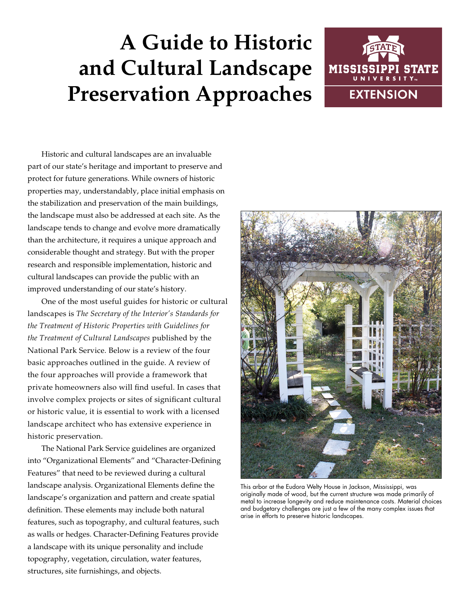# **A Guide to Historic and Cultural Landscape Preservation Approaches**



Historic and cultural landscapes are an invaluable part of our state's heritage and important to preserve and protect for future generations. While owners of historic properties may, understandably, place initial emphasis on the stabilization and preservation of the main buildings, the landscape must also be addressed at each site. As the landscape tends to change and evolve more dramatically than the architecture, it requires a unique approach and considerable thought and strategy. But with the proper research and responsible implementation, historic and cultural landscapes can provide the public with an improved understanding of our state's history.

One of the most useful guides for historic or cultural landscapes is *The Secretary of the Interior's Standards for the Treatment of Historic Properties with Guidelines for the Treatment of Cultural Landscapes* published by the National Park Service. Below is a review of the four basic approaches outlined in the guide. A review of the four approaches will provide a framework that private homeowners also will find useful. In cases that involve complex projects or sites of significant cultural or historic value, it is essential to work with a licensed landscape architect who has extensive experience in historic preservation.

The National Park Service guidelines are organized into "Organizational Elements" and "Character-Defining Features" that need to be reviewed during a cultural landscape analysis. Organizational Elements define the landscape's organization and pattern and create spatial definition. These elements may include both natural features, such as topography, and cultural features, such as walls or hedges. Character-Defining Features provide a landscape with its unique personality and include topography, vegetation, circulation, water features, structures, site furnishings, and objects.



This arbor at the Eudora Welty House in Jackson, Mississippi, was originally made of wood, but the current structure was made primarily of metal to increase longevity and reduce maintenance costs. Material choices and budgetary challenges are just a few of the many complex issues that arise in efforts to preserve historic landscapes.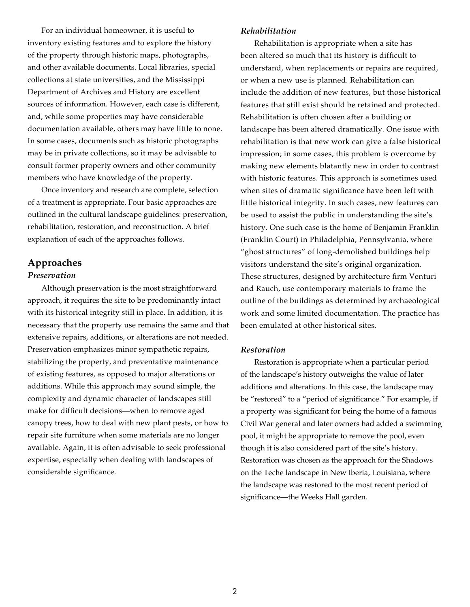For an individual homeowner, it is useful to inventory existing features and to explore the history of the property through historic maps, photographs, and other available documents. Local libraries, special collections at state universities, and the Mississippi Department of Archives and History are excellent sources of information. However, each case is different, and, while some properties may have considerable documentation available, others may have little to none. In some cases, documents such as historic photographs may be in private collections, so it may be advisable to consult former property owners and other community members who have knowledge of the property.

Once inventory and research are complete, selection of a treatment is appropriate. Four basic approaches are outlined in the cultural landscape guidelines: preservation, rehabilitation, restoration, and reconstruction. A brief explanation of each of the approaches follows.

# **Approaches**

# *Preservation*

Although preservation is the most straightforward approach, it requires the site to be predominantly intact with its historical integrity still in place. In addition, it is necessary that the property use remains the same and that extensive repairs, additions, or alterations are not needed. Preservation emphasizes minor sympathetic repairs, stabilizing the property, and preventative maintenance of existing features, as opposed to major alterations or additions. While this approach may sound simple, the complexity and dynamic character of landscapes still make for difficult decisions—when to remove aged canopy trees, how to deal with new plant pests, or how to repair site furniture when some materials are no longer available. Again, it is often advisable to seek professional expertise, especially when dealing with landscapes of considerable significance.

## *Rehabilitation*

Rehabilitation is appropriate when a site has been altered so much that its history is difficult to understand, when replacements or repairs are required, or when a new use is planned. Rehabilitation can include the addition of new features, but those historical features that still exist should be retained and protected. Rehabilitation is often chosen after a building or landscape has been altered dramatically. One issue with rehabilitation is that new work can give a false historical impression; in some cases, this problem is overcome by making new elements blatantly new in order to contrast with historic features. This approach is sometimes used when sites of dramatic significance have been left with little historical integrity. In such cases, new features can be used to assist the public in understanding the site's history. One such case is the home of Benjamin Franklin (Franklin Court) in Philadelphia, Pennsylvania, where "ghost structures" of long-demolished buildings help visitors understand the site's original organization. These structures, designed by architecture firm Venturi and Rauch, use contemporary materials to frame the outline of the buildings as determined by archaeological work and some limited documentation. The practice has been emulated at other historical sites.

### *Restoration*

Restoration is appropriate when a particular period of the landscape's history outweighs the value of later additions and alterations. In this case, the landscape may be "restored" to a "period of significance." For example, if a property was significant for being the home of a famous Civil War general and later owners had added a swimming pool, it might be appropriate to remove the pool, even though it is also considered part of the site's history. Restoration was chosen as the approach for the Shadows on the Teche landscape in New Iberia, Louisiana, where the landscape was restored to the most recent period of significance—the Weeks Hall garden.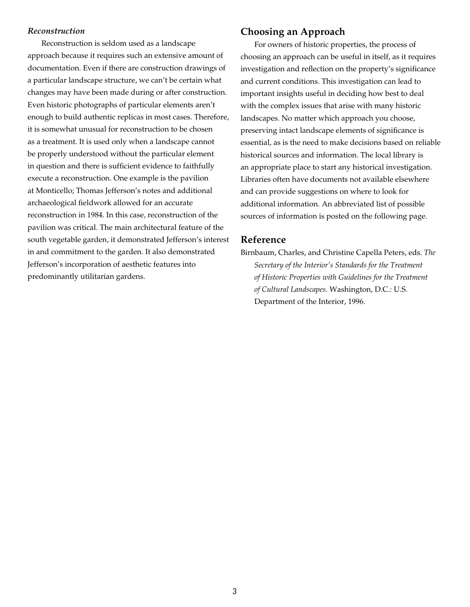#### *Reconstruction*

Reconstruction is seldom used as a landscape approach because it requires such an extensive amount of documentation. Even if there are construction drawings of a particular landscape structure, we can't be certain what changes may have been made during or after construction. Even historic photographs of particular elements aren't enough to build authentic replicas in most cases. Therefore, it is somewhat unusual for reconstruction to be chosen as a treatment. It is used only when a landscape cannot be properly understood without the particular element in question and there is sufficient evidence to faithfully execute a reconstruction. One example is the pavilion at Monticello; Thomas Jefferson's notes and additional archaeological fieldwork allowed for an accurate reconstruction in 1984. In this case, reconstruction of the pavilion was critical. The main architectural feature of the south vegetable garden, it demonstrated Jefferson's interest in and commitment to the garden. It also demonstrated Jefferson's incorporation of aesthetic features into predominantly utilitarian gardens.

# **Choosing an Approach**

For owners of historic properties, the process of choosing an approach can be useful in itself, as it requires investigation and reflection on the property's significance and current conditions. This investigation can lead to important insights useful in deciding how best to deal with the complex issues that arise with many historic landscapes. No matter which approach you choose, preserving intact landscape elements of significance is essential, as is the need to make decisions based on reliable historical sources and information. The local library is an appropriate place to start any historical investigation. Libraries often have documents not available elsewhere and can provide suggestions on where to look for additional information. An abbreviated list of possible sources of information is posted on the following page.

# **Reference**

Birnbaum, Charles, and Christine Capella Peters, eds. *The Secretary of the Interior's Standards for the Treatment of Historic Properties with Guidelines for the Treatment of Cultural Landscapes*. Washington, D.C.: U.S. Department of the Interior, 1996.